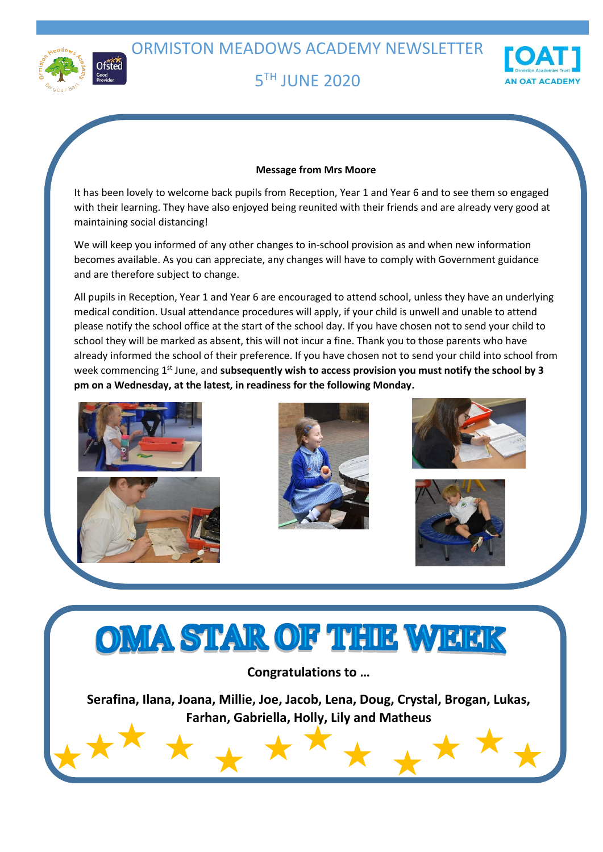ORMISTON MEADOWS ACADEMY NEWSLETTER



## **5TH JUNE 2020**



#### **Message from Mrs Moore**

It has been lovely to welcome back pupils from Reception, Year 1 and Year 6 and to see them so engaged with their learning. They have also enjoyed being reunited with their friends and are already very good at maintaining social distancing!

We will keep you informed of any other changes to in-school provision as and when new information becomes available. As you can appreciate, any changes will have to comply with Government guidance and are therefore subject to change.

All pupils in Reception, Year 1 and Year 6 are encouraged to attend school, unless they have an underlying medical condition. Usual attendance procedures will apply, if your child is unwell and unable to attend please notify the school office at the start of the school day. If you have chosen not to send your child to school they will be marked as absent, this will not incur a fine. Thank you to those parents who have already informed the school of their preference. If you have chosen not to send your child into school from week commencing 1<sup>st</sup> June, and **subsequently wish to access provision you must notify the school by 3 pm on a Wednesday, at the latest, in readiness for the following Monday.**











# OMA STAR OF THE WEEK

**Congratulations to …**

**Serafina, Ilana, Joana, Millie, Joe, Jacob, Lena, Doug, Crystal, Brogan, Lukas, Farhan, Gabriella, Holly, Lily and Matheus**